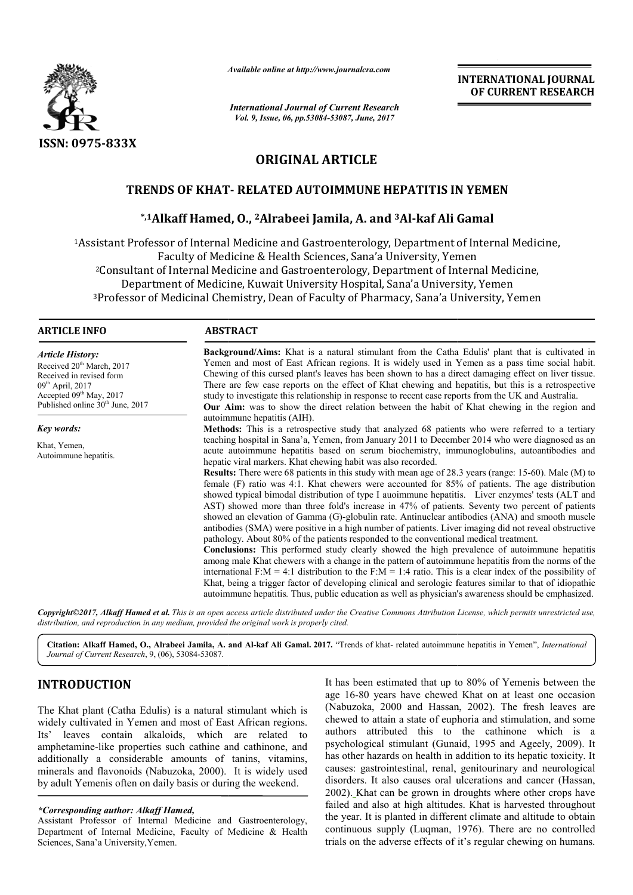

*Available online at http://www.journal http://www.journalcra.com*

*International Journal of Current Research Vol. 9, Issue, 06, pp.53084-53087, June, 2017*

**INTERNATIONAL JOURNAL OF CURRENT RESEARCH** 

# **ORIGINAL ARTICLE**

# **TRENDS OF KHAT KHAT- RELATED AUTOIMMUNE HEPATITIS IN YEMEN**

# **kENDS OF KHAT- RELATED AUTOIMMUNE HEPATITIS IN YEM**<br>\*,1Alkaff Hamed, O., <sup>2</sup>Alrabeei Jamila, A. and <sup>3</sup>Al-kaf Ali Gamal

<sup>1</sup>Assistant Professor of Internal Medicine and Gastroenterology, Department of Internal Medicine,<br>Faculty of Medicine & Health Sciences, Sana'a University, Yemen Faculty of Medicine & Health Sciences, Sana'a University 2Consultant of Internal Medicine and Gastroenterology, Department of Internal Medicine, Department of Medicine, Kuwait University Hospital, Sana'a University, Yemen <sup>2</sup>Consultant of Internal Medicine and Gastroenterology, Department of Internal Medicine,<br>Department of Medicine, Kuwait University Hospital, Sana'a University, Yemen<br><sup>3</sup>Professor of Medicinal Chemistry, Dean of Faculty of Faculty of Medicine & Health Sciences, Sana'a University, Yemen<br>Consultant of Internal Medicine and Gastroenterology, Department of Intern<br>Department of Medicine, Kuwait University Hospital, Sana'a University,<br>Professor of

#### **ARTICLE INFO ABSTRACT**

*Article History:* Received 20<sup>th</sup> March, 2017 Received in revised form 09th April, 2017 Accepted 09<sup>th</sup> May, 2017 Published online 30<sup>th</sup> June, 2017

*Key words:*

Khat, Yemen, Autoimmune hepatitis.

**Background/Aims:** Khat is a natural stimulant from the Catha Edulis' plant that is cultivated in Yemen and most of East African regions. It is widely used in Yemen as a pass time social habit. Chewing of this cursed plant's leaves has been shown to has a direct damaging effect on liver tissue. There are few case reports on the effect of Khat chewing and hepatitis, but this is a retrospective study to investigate this relationship in response to recent case reports from the UK and Australia. study to investigate this relationship in response to recent case reports from the UK and Australia.<br>**Our Aim:** was to show the direct relation between the habit of Khat chewing in the region and Yemen and most of East African regions. It is widely used in Yemen as a pass time social habit.<br>Chewing of this cursed plant's leaves has been shown to has a direct damaging effect on liver tissue.<br>There are few case repor

autoimmune hepatitis (AIH) (AIH).

**Methods Methods:** This is a retrospective study that analyzed 68 patients who were referred to a tertiary **Methods:** This is a retrospective study that analyzed 68 patients who were referred to a tertiary teaching hospital in Sana'a, Yemen, from January 2011 to December 2014 who were diagnosed as an acute autoimmune hepatitis based on serum biochemistry, immunoglobulins, autoantibodies and hepatic viral markers. Khat chewing habit was also recorded. acute autoimmune hepatitis based on serum biochemistry, immunoglobulins, autoantibodies and<br>hepatic viral markers. Khat chewing habit was also recorded.<br>**Results:** There were 68 patients in this study with mean age of 28.3

female (F) ratio was 4:1. Khat chewers were accounted for 85% of patients. The age distribution female (F) ratio was 4:1. Khat chewers were accounted for 85% of patients. The age distribution showed typical bimodal distribution of type I auoimmune hepatitis. Liver enzymes' tests (ALT and AST) showed more than three fold's increase in 47% of patients. Seventy two percent of patients showed an elevation of Gamma (G)-globulin rate. Antinuclear antibodies (ANA) and smooth muscle antibodies (SMA) were positive in a high number of patients. Liver imaging did not reveal obstructive pathology. About 80% of the patients responded to the conventional medical treatment. showed an elevation of Gamma (G)-globulin rate. Antinuclear antibodies (ANA) and smooth muscle antibodies (SMA) were positive in a high number of patients. Liver imaging did not reveal obstructive pathology. About 80% of t

**Conclusions:** This performed study clearly showed the high prevalence of autoimmune hepatitis among male Khat chewers with a change in the pattern of autoimmune hepatitis from the norms of the international F:M = 4:1 distribution to the F:M = 1:4 ratio. This is a clear index of the possibility of Khat, being a trigger factor of developing clinical and serologic features features similar to that of idiopathic autoimmune hepatitis. Thus, public education as well as physician's awareness should be emphasized.

*Copyright©2017, Alkaff Hamed et al. This is an open access article distributed under the Creative Commons Att Attribution License, which ribution permits unrestricted use, distribution, and reproduction in any medium, provided the original work is properly cited.*

Citation: Alkaff Hamed, O., Alrabeei Jamila, A. and Al-kaf Ali Gamal. 2017. "Trends of khat- related autoimmune hepatitis in Yemen", *International Journal of Current Research*, 9, (06), 53084-53087.

# **INTRODUCTION**

The Khat plant (Catha Edulis) is a natural stimulant which is widely cultivated in Yemen and most of East African regions. Its' leaves contain alkaloids, which are related to amphetamine-like properties such cathine and cathinone, and additionally a considerable amounts of tanins, vitamins, minerals and flavonoids (Nabuzoka, 2000). It is widely used by adult Yemenis often on daily basis or during the weekend.

#### *\*Corresponding author: Alkaff Hamed,*

Assistant Professor of Internal Medicine and Gastroenterology, Department of Internal Medicine, Faculty of Medicine & Health Sciences, Sana'a University,Yemen.

It has been estimated that up to 80% of Yemenis between<br>
age 16-80 years have chewed Khat on at least one occa<br>
ids, which are related to<br>
uch cathine and cathinone, and<br>
ids, which are related to<br>
uch cathine and cathinon age 16-80 years have chewed Khat on at least one occasion age 16-80 years have chewed Khat on at least one occasion (Nabuzoka, 2000 and Hassan, 2002). The fresh leaves are chewed to attain a state of euphoria and stimulation, and some authors attributed this to the cathinone which is a psychological stimulant (Gunaid Gunaid, 1995 and Ageely, 2009). It has other hazards on health in addition to its hepatic toxicity. It causes: gastrointestinal, renal, genitourinary and neurological disorders. It also causes oral ulcerations and cancer (Hassan, 2002). Khat can be grown in droughts where other crops have failed and also at high altitudes. Khat is harvested throughout the year. It is planted in different climate and altitude to obtain continuous supply (Luqman, 1976). There are no controlled trials on the adverse effects of it's regular chewing on humans. It has been estimated that up to 80% of Yemenis between the hat can be grown in droughts where other crops have<br>d also at high altitudes. Khat is harvested throughout<br>It is planted in different climate and altitude to obtain<br>as supply (Luqman, 1976). There are no controlled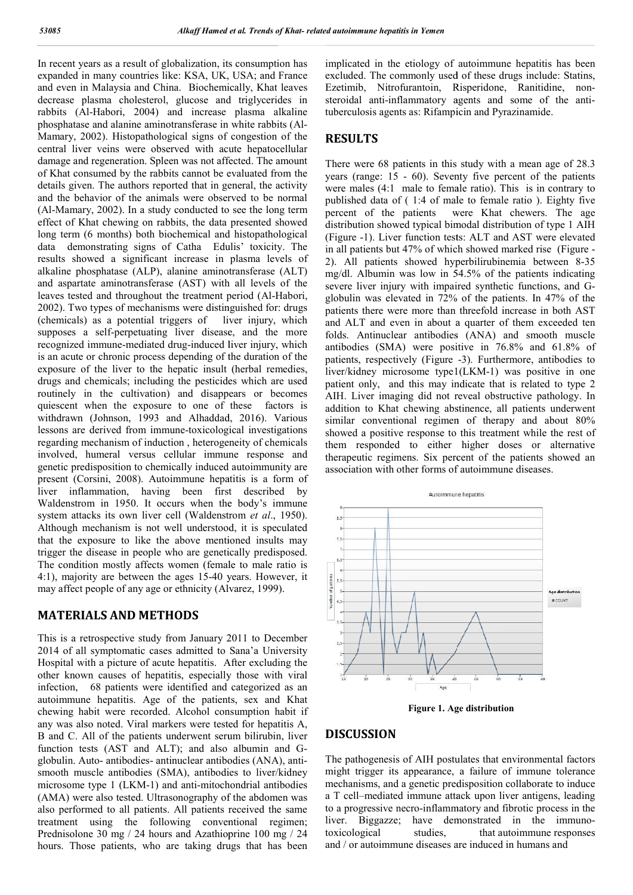In recent years as a result of globalization, its consumption has expanded in many countries like: KSA, UK, USA; and France and even in Malaysia and China. Biochemica Biochemically, Khat leaves decrease plasma cholesterol, glucose and triglycerides in rabbits (Al-Habori, 2004) and increase plasma alkaline phosphatase and alanine aminotransferase in white rabbits (Al-Mamary, 2002). Histopathological signs of congestion of the central liver veins were observed with acute hepatocellular damage and regeneration. Spleen was not affected. The amount of Khat consumed by the rabbits cannot be evaluated from the details given. The authors reported that in general, the activity and the behavior of the animals were observed to be normal (Al-Mamary, 2002). In a study conducted to see the long term effect of Khat chewing on rabbits, the data presented showed long term (6 months) both biochemical and histopathological data demonstrating signs of Catha Edulis' toxicity. The results showed a significant increase in plasma levels of alkaline phosphatase (ALP), alanine aminotransferase (ALT) alkaline phosphatase (ALP), alanine aminotransferase (ALT)<br>and aspartate aminotransferase (AST) with all levels of the leaves tested and throughout the treatment period (Al-Habori, 2002). Two types of mechanisms were distinguished for: drugs (chemicals) as a potential triggers of liver injury, which supposes a self-perpetuating liver disease, and the more recognized immune-mediated drug-induced liver injury, which is an acute or chronic process depending of the duration of the exposure of the liver to the hepatic insult (herbal remedies, drugs and chemicals; including the pesticides which are used routinely in the cultivation) and disappears or becomes quiescent when the exposure to one of these factors is withdrawn (Johnson, 1993 and Alhaddad, 2016). Various lessons are derived from immune-toxicological investigations regarding mechanism of induction , heterogeneity of chemicals involved, humeral versus cellular immune response and genetic predisposition to chemically induced autoimmunity present (Corsini, 2008). Autoimmune hepatitis is a form of liver inflammation, having been first described by Waldenstrom in 1950. It occurs when the body's immune system attacks its own liver cell (Waldenstrom *et al*., 1950). Although mechanism is not well understood, it is speculated that the exposure to like the above mentioned insults may trigger the disease in people who are genetically predisposed. The condition mostly affects women (female to male ratio is  $4:1$ ), majority are between the ages  $15-40$  years. However, it may affect people of any age or ethnicity (Alvarez, 1999). een was not affected. The amount<br>bits cannot be evaluated from the<br>borted that in general, the activity<br>nals were observed to be normal<br>ly conducted to see the long term<br>bbits, the data presented showed<br>iochemical and hist elf-perpetuating liver disease, and the more<br>nune-mediated drug-induced liver injury, which<br>hronic process depending of the duration of the<br>e liver to the hepatic insult (herbal remedies,<br>nicals; including the pesticides w toxicological investigations<br>theterogeneity of chemicals<br>ar immune response and<br>y induced autoimmunity are

### **MATERIALS AND METHODS**

This is a retrospective study from January 2011 to December 2014 of all symptomatic cases admitted to Sana'a University Hospital with a picture of acute hepatitis. After excluding the other known causes of hepatitis, especially those with viral infection, 68 patients were identified and categorized as an autoimmune hepatitis. Age of the patients, sex and Khat chewing habit were recorded. Alcohol consumption habit if any was also noted. Viral markers were tested for hepatitis A, B and C. All of the patients underwent serum bilirubin, liver function tests (AST and ALT); and also albumin and Gglobulin. Auto- antibodies- antinuclear antibodies (ANA), antismooth muscle antibodies (SMA), antibodies to liver/kidney microsome type 1 (LKM-1) and anti-mitochondrial antibodies (AMA) were also tested. Ultrasonography of the abdomen was also performed to all patients. All patients received the same smooth muscle antibodies (SMA), antibodies to liver/kidney<br>microsome type 1 (LKM-1) and anti-mitochondrial antibodies<br>(AMA) were also tested. Ultrasonography of the abdomen was<br>also performed to all patients. All patients Prednisolone 30 mg / 24 hours and Azathioprine 100 mg / 24 hours. Those patients, who are taking drugs that has been

implicated in the etiology of autoimmune hepatitis has been implicated in the etiology of autoimmune hepatitis has been excluded. The commonly used of these drugs include: Statins, Ezetimib, Nitrofurantoin, Risperidone, Ranitidine, nonsteroidal anti-inflammatory agents and some of the antituberculosis agents as: Rifampicin and Pyrazinamide.

## **RESULTS**

There were 68 patients in this study with a mean age of 28.3 years (range: 15 - 60). Seventy five percent of the patients were males (4:1 male to female ratio). This is in contrary to published data of ( 1:4 of male to female ratio ). Eighty five percent of the patients were Khat chewers. The age distribution showed typical bimodal distribution of type 1 AIH (Figure -1). Liver function tests: ALT and AST were elevated in all patients but 47% of which showed marked rise (Figure -2). All patients showed hyperbilirubinemia between 8 8-35 mg/dl. Albumin was low in 54.5% of the patients indicating severe liver injury with impaired synthetic functions, and Gsevere liver injury with impaired synthetic functions, and Gglobulin was elevated in  $72\%$  of the patients. In  $47\%$  of the patients there were more than threefold increase in both AST and ALT and even in about a quarter of them exceeded ten folds. Antinuclear antibodies (ANA) and smooth muscle antibodies (SMA) were positive in 76.8% and 61.8% of patients, respectively (Figure -3). Furthermore, antibodies to liver/kidney microsome type1(LKM-1) was positive in one patient only, and this may indicate that is related to type 2 AIH. Liver imaging did not reveal obstructive pathology. In addition to Khat chewing abstinence, all patients underwent similar conventional regimen of therapy and about 80% showed a positive response to this treatment while the rest of them responded to either higher doses or alternative therapeutic regimens. Six percent of the patients showed an association with other forms of autoimmune diseases. were males (4:1 male to female ratio). This is in contrary to published data of (1:4 of male to female ratio). Eighty five percent of the patients were Khat chewers. The age distribution showed typical bimodal distribution patients there were more than threefold increase in both AST and ALT and even in about a quarter of them exceeded ten folds. Antinuclear antibodies (ANA) and smooth muscle antibodies (SMA) were positive in 76.8% and 61.8% Liver imaging did not reveal obstructive pathology. In<br>on to Khat chewing abstinence, all patients underwent<br>r conventional regimen of therapy and about 80%



**Figure 1. Age distribution**

#### **DISCUSSION**

The pathogenesis of AIH postulates that environmental factors might trigger its appearance, a failure of immune tolerance mechanisms, and a genetic predisposition collaborate to induce a T cell–mediated immune attack upon liver antigens, leading to a progressive necro-inflammatory and fibrotic process in the liver. Biggazze; have demonstrated in the immunotoxicological studies, and / or autoimmune diseases are induced in humans and that autoimmune responses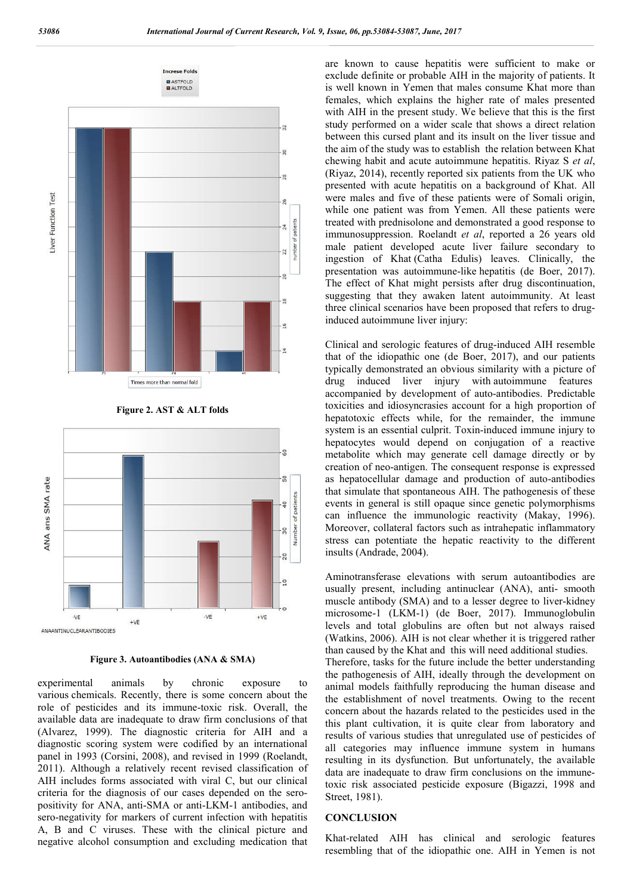

**Figure 2. AST & ALT folds**



**Figure 3. Autoantibodies (ANA & SMA)**

experimental animals by chronic exposure to various chemicals. Recently, there is some concern about the role of pesticides and its immune-toxic risk. Overall, the available data are inadequate to draw firm conclusions of that (Alvarez, 1999). The diagnostic criteria for AIH and a diagnostic scoring system were codified by an international panel in 1993 (Corsini, 2008), and revised in 1999 (Roelandt, 2011). Although a relatively recent revised classification of AIH includes forms associated with viral C, but our clinical criteria for the diagnosis of our cases depended on the seropositivity for ANA, anti-SMA or anti-LKM-1 antibodies, and sero-negativity for markers of current infection with hepatitis A, B and C viruses. These with the clinical picture and negative alcohol consumption and excluding medication that

are known to cause hepatitis were sufficient to make or exclude definite or probable AIH in the majority of patients. It is well known in Yemen that males consume Khat more than females, which explains the higher rate of males presented with AIH in the present study. We believe that this is the first study performed on a wider scale that shows a direct relation between this cursed plant and its insult on the liver tissue and the aim of the study was to establish the relation between Khat chewing habit and acute autoimmune hepatitis. Riyaz S *et al*, (Riyaz, 2014), recently reported six patients from the UK who presented with acute hepatitis on a background of Khat. All were males and five of these patients were of Somali origin, while one patient was from Yemen. All these patients were treated with prednisolone and demonstrated a good response to immunosuppression. Roelandt *et al*, reported a 26 years old male patient developed acute liver failure secondary to ingestion of Khat (Catha Edulis) leaves. Clinically, the presentation was autoimmune-like hepatitis (de Boer, 2017). The effect of Khat might persists after drug discontinuation, suggesting that they awaken latent autoimmunity. At least three clinical scenarios have been proposed that refers to druginduced autoimmune liver injury:

Clinical and serologic features of drug-induced AIH resemble that of the idiopathic one (de Boer, 2017), and our patients typically demonstrated an obvious similarity with a picture of drug induced liver injury with autoimmune features accompanied by development of auto-antibodies. Predictable toxicities and idiosyncrasies account for a high proportion of hepatotoxic effects while, for the remainder, the immune system is an essential culprit. Toxin-induced immune injury to hepatocytes would depend on conjugation of a reactive metabolite which may generate cell damage directly or by creation of neo-antigen. The consequent response is expressed as hepatocellular damage and production of auto-antibodies that simulate that spontaneous AIH. The pathogenesis of these events in general is still opaque since genetic polymorphisms can influence the immunologic reactivity (Makay, 1996). Moreover, collateral factors such as intrahepatic inflammatory stress can potentiate the hepatic reactivity to the different insults (Andrade, 2004).

Aminotransferase elevations with serum autoantibodies are usually present, including antinuclear (ANA), anti- smooth muscle antibody (SMA) and to a lesser degree to liver-kidney microsome-1 (LKM-1) (de Boer, 2017). Immunoglobulin levels and total globulins are often but not always raised (Watkins, 2006). AIH is not clear whether it is triggered rather than caused by the Khat and this will need additional studies. Therefore, tasks for the future include the better understanding the pathogenesis of AIH, ideally through the development on animal models faithfully reproducing the human disease and the establishment of novel treatments. Owing to the recent concern about the hazards related to the pesticides used in the this plant cultivation, it is quite clear from laboratory and results of various studies that unregulated use of pesticides of all categories may influence immune system in humans resulting in its dysfunction. But unfortunately, the available data are inadequate to draw firm conclusions on the immunetoxic risk associated pesticide exposure (Bigazzi, 1998 and Street, 1981).

#### **CONCLUSION**

Khat-related AIH has clinical and serologic features resembling that of the idiopathic one. AIH in Yemen is not